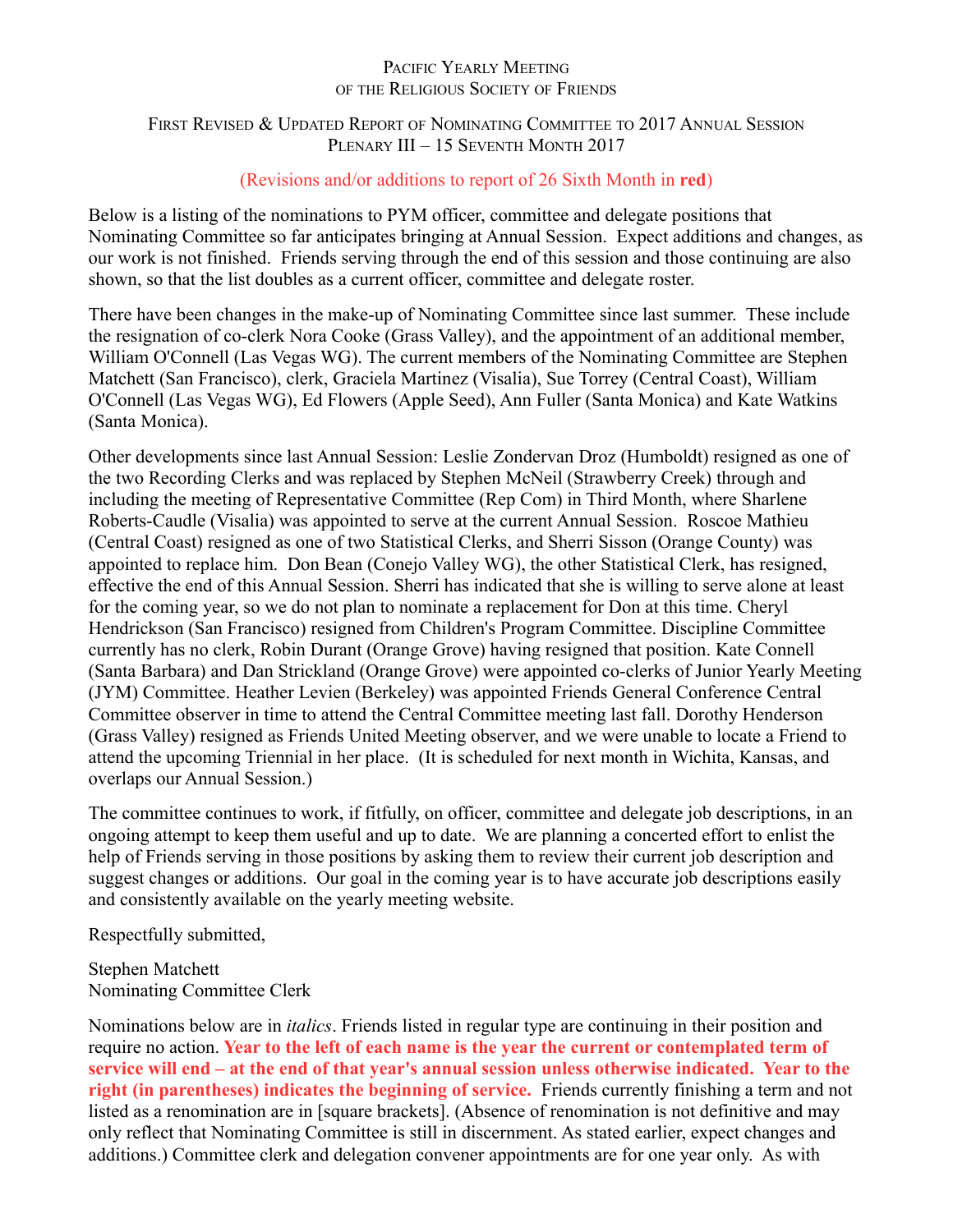## PACIFIC YEARLY MEETING OF THE RELIGIOUS SOCIETY OF FRIENDS

# FIRST REVISED & UPDATED REPORT OF NOMINATING COMMITTEE TO 2017 ANNUAL SESSION PLENARY III - 15 SEVENTH MONTH 2017

# (Revisions and/or additions to report of 26 Sixth Month in **red**)

Below is a listing of the nominations to PYM officer, committee and delegate positions that Nominating Committee so far anticipates bringing at Annual Session. Expect additions and changes, as our work is not finished. Friends serving through the end of this session and those continuing are also shown, so that the list doubles as a current officer, committee and delegate roster.

There have been changes in the make-up of Nominating Committee since last summer. These include the resignation of co-clerk Nora Cooke (Grass Valley), and the appointment of an additional member, William O'Connell (Las Vegas WG). The current members of the Nominating Committee are Stephen Matchett (San Francisco), clerk, Graciela Martinez (Visalia), Sue Torrey (Central Coast), William O'Connell (Las Vegas WG), Ed Flowers (Apple Seed), Ann Fuller (Santa Monica) and Kate Watkins (Santa Monica).

Other developments since last Annual Session: Leslie Zondervan Droz (Humboldt) resigned as one of the two Recording Clerks and was replaced by Stephen McNeil (Strawberry Creek) through and including the meeting of Representative Committee (Rep Com) in Third Month, where Sharlene Roberts-Caudle (Visalia) was appointed to serve at the current Annual Session. Roscoe Mathieu (Central Coast) resigned as one of two Statistical Clerks, and Sherri Sisson (Orange County) was appointed to replace him. Don Bean (Conejo Valley WG), the other Statistical Clerk, has resigned, effective the end of this Annual Session. Sherri has indicated that she is willing to serve alone at least for the coming year, so we do not plan to nominate a replacement for Don at this time. Cheryl Hendrickson (San Francisco) resigned from Children's Program Committee. Discipline Committee currently has no clerk, Robin Durant (Orange Grove) having resigned that position. Kate Connell (Santa Barbara) and Dan Strickland (Orange Grove) were appointed co-clerks of Junior Yearly Meeting (JYM) Committee. Heather Levien (Berkeley) was appointed Friends General Conference Central Committee observer in time to attend the Central Committee meeting last fall. Dorothy Henderson (Grass Valley) resigned as Friends United Meeting observer, and we were unable to locate a Friend to attend the upcoming Triennial in her place. (It is scheduled for next month in Wichita, Kansas, and overlaps our Annual Session.)

The committee continues to work, if fitfully, on officer, committee and delegate job descriptions, in an ongoing attempt to keep them useful and up to date. We are planning a concerted effort to enlist the help of Friends serving in those positions by asking them to review their current job description and suggest changes or additions. Our goal in the coming year is to have accurate job descriptions easily and consistently available on the yearly meeting website.

Respectfully submitted,

Stephen Matchett Nominating Committee Clerk

Nominations below are in *italics*. Friends listed in regular type are continuing in their position and require no action. **Year to the left of each name is the year the current or contemplated term of service will end – at the end of that year's annual session unless otherwise indicated. Year to the right (in parentheses) indicates the beginning of service.** Friends currently finishing a term and not listed as a renomination are in [square brackets]. (Absence of renomination is not definitive and may only reflect that Nominating Committee is still in discernment. As stated earlier, expect changes and additions.) Committee clerk and delegation convener appointments are for one year only. As with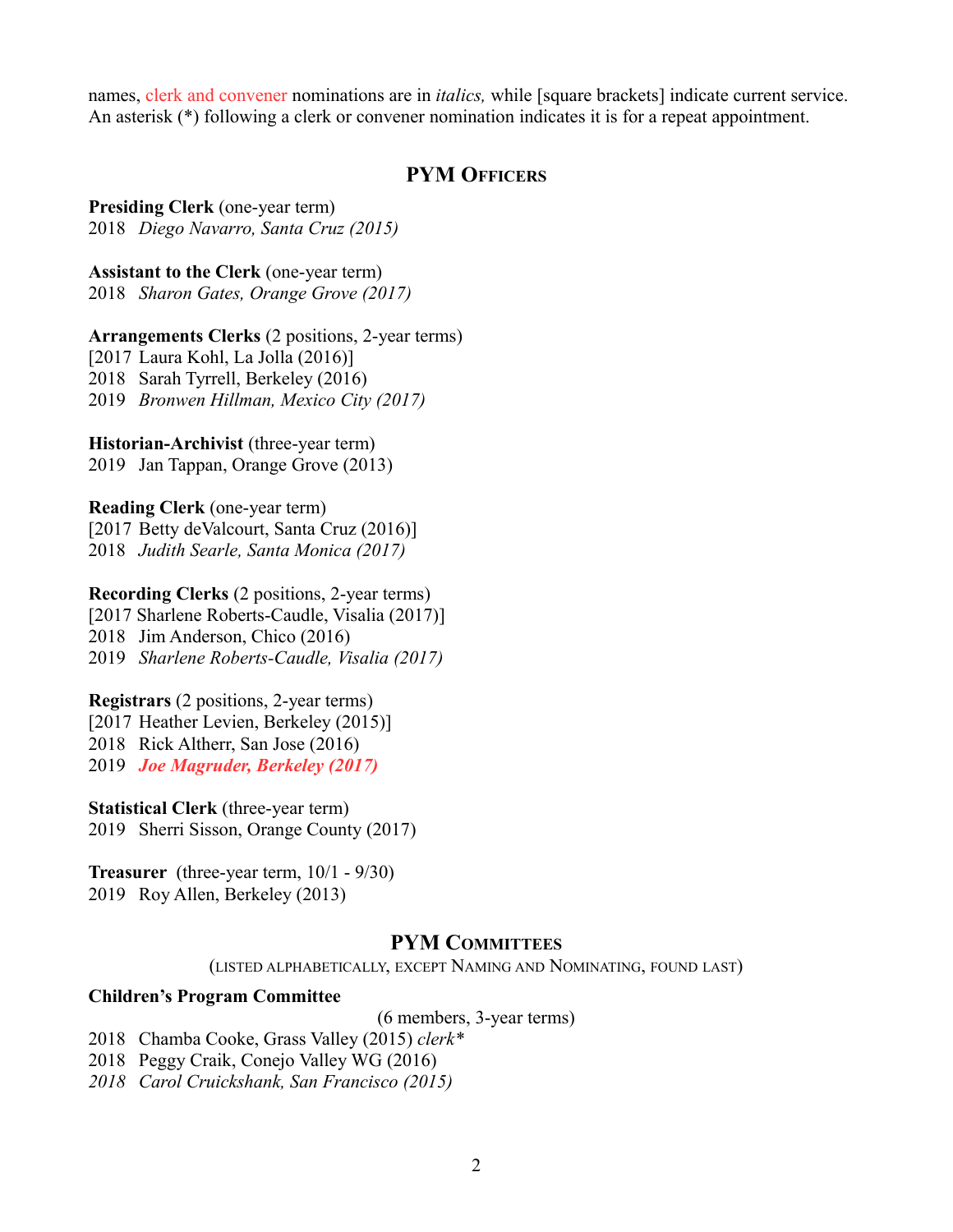names, clerk and convener nominations are in *italics,* while [square brackets] indicate current service. An asterisk (\*) following a clerk or convener nomination indicates it is for a repeat appointment.

# **PYM OFFICERS**

**Presiding Clerk** (one-year term) 2018 *Diego Navarro, Santa Cruz (2015)*

**Assistant to the Clerk** (one-year term)

2018 *Sharon Gates, Orange Grove (2017)*

**Arrangements Clerks** (2 positions, 2-year terms)

[2017 Laura Kohl, La Jolla (2016)] 2018 Sarah Tyrrell, Berkeley (2016) 2019 *Bronwen Hillman, Mexico City (2017)*

**Historian-Archivist** (three-year term)

2019 Jan Tappan, Orange Grove (2013)

**Reading Clerk** (one-year term) [2017 Betty deValcourt, Santa Cruz (2016)] 2018 *Judith Searle, Santa Monica (2017)*

**Recording Clerks** (2 positions, 2-year terms) [2017 Sharlene Roberts-Caudle, Visalia (2017)]

2018 Jim Anderson, Chico (2016)

2019 *Sharlene Roberts-Caudle, Visalia (2017)*

**Registrars** (2 positions, 2-year terms)

[2017 Heather Levien, Berkeley (2015)]

2018 Rick Altherr, San Jose (2016)

2019 *Joe Magruder, Berkeley (2017)*

**Statistical Clerk** (three-year term) 2019 Sherri Sisson, Orange County (2017)

**Treasurer** (three-year term, 10/1 - 9/30) 2019 Roy Allen, Berkeley (2013)

# **PYM COMMITTEES**

(LISTED ALPHABETICALLY, EXCEPT NAMING AND NOMINATING, FOUND LAST)

## **Children's Program Committee**

(6 members, 3-year terms)

2018 Chamba Cooke, Grass Valley (2015) *clerk\**

2018 Peggy Craik, Conejo Valley WG (2016)

*2018 Carol Cruickshank, San Francisco (2015)*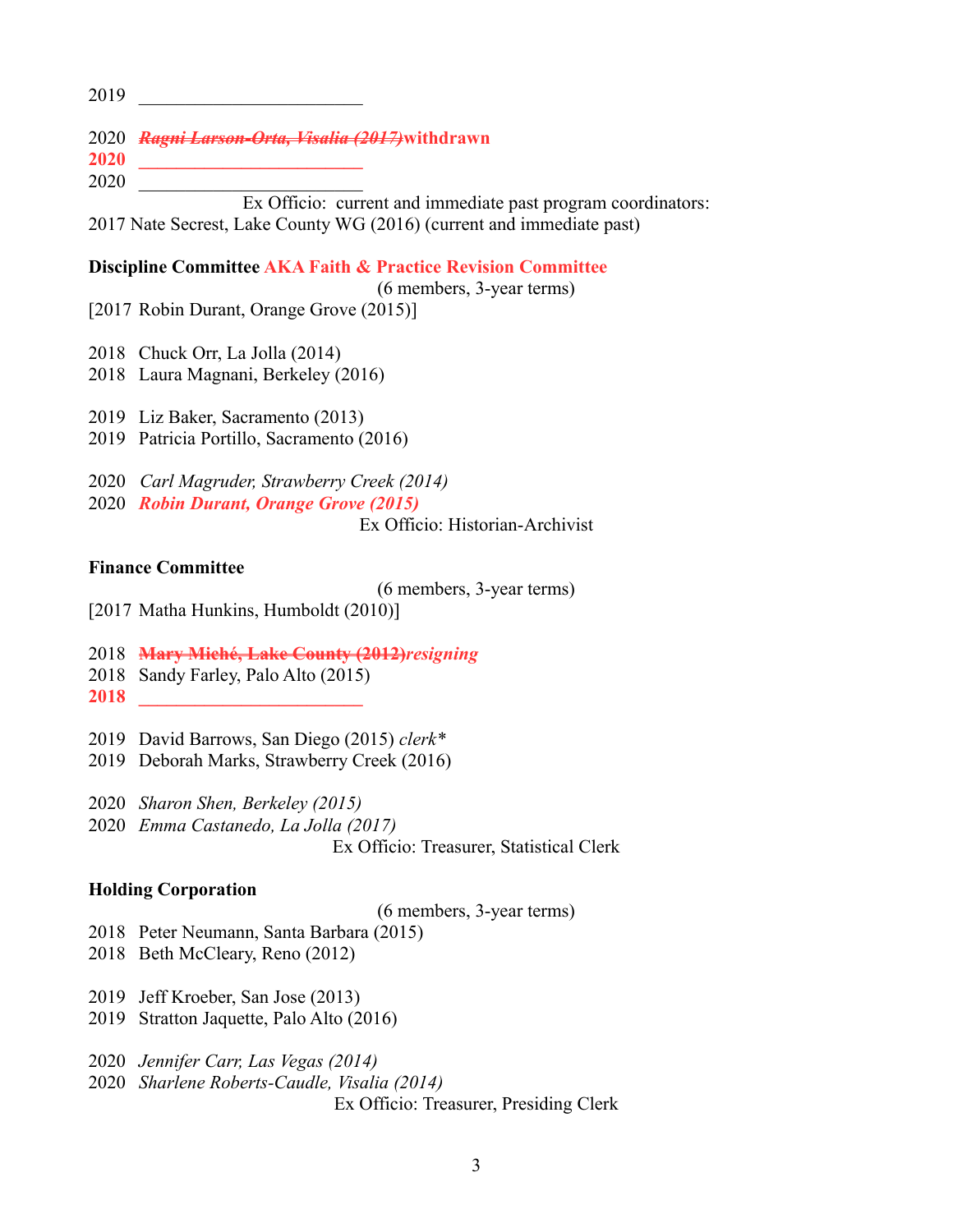\_\_\_\_\_\_\_\_\_\_\_\_\_\_\_\_\_\_\_\_\_\_\_\_

*Ragni Larson-Orta, Visalia (2017)***withdrawn**

 **\_\_\_\_\_\_\_\_\_\_\_\_\_\_\_\_\_\_\_\_\_\_\_\_**  $\overline{\phantom{a}}$ 

Ex Officio: current and immediate past program coordinators: 2017 Nate Secrest, Lake County WG (2016) (current and immediate past)

## **Discipline Committee AKA Faith & Practice Revision Committee**

(6 members, 3-year terms) [2017 Robin Durant, Orange Grove (2015)]

- Chuck Orr, La Jolla (2014)
- Laura Magnani, Berkeley (2016)

Liz Baker, Sacramento (2013)

Patricia Portillo, Sacramento (2016)

*Carl Magruder, Strawberry Creek (2014)*

*Robin Durant, Orange Grove (2015)*

Ex Officio: Historian-Archivist

## **Finance Committee**

(6 members, 3-year terms)

- [2017 Matha Hunkins, Humboldt (2010)]
- **Mary Miché, Lake County (2012)***resigning*
- Sandy Farley, Palo Alto (2015)
- **\_\_\_\_\_\_\_\_\_\_\_\_\_\_\_\_\_\_\_\_\_\_\_\_**
- David Barrows, San Diego (2015) *clerk\**
- Deborah Marks, Strawberry Creek (2016)

*Sharon Shen, Berkeley (2015)*

*Emma Castanedo, La Jolla (2017)*

Ex Officio: Treasurer, Statistical Clerk

#### **Holding Corporation**

(6 members, 3-year terms)

- Peter Neumann, Santa Barbara (2015)
- Beth McCleary, Reno (2012)
- Jeff Kroeber, San Jose (2013)
- Stratton Jaquette, Palo Alto (2016)

*Jennifer Carr, Las Vegas (2014)* 

*Sharlene Roberts-Caudle, Visalia (2014)*

Ex Officio: Treasurer, Presiding Clerk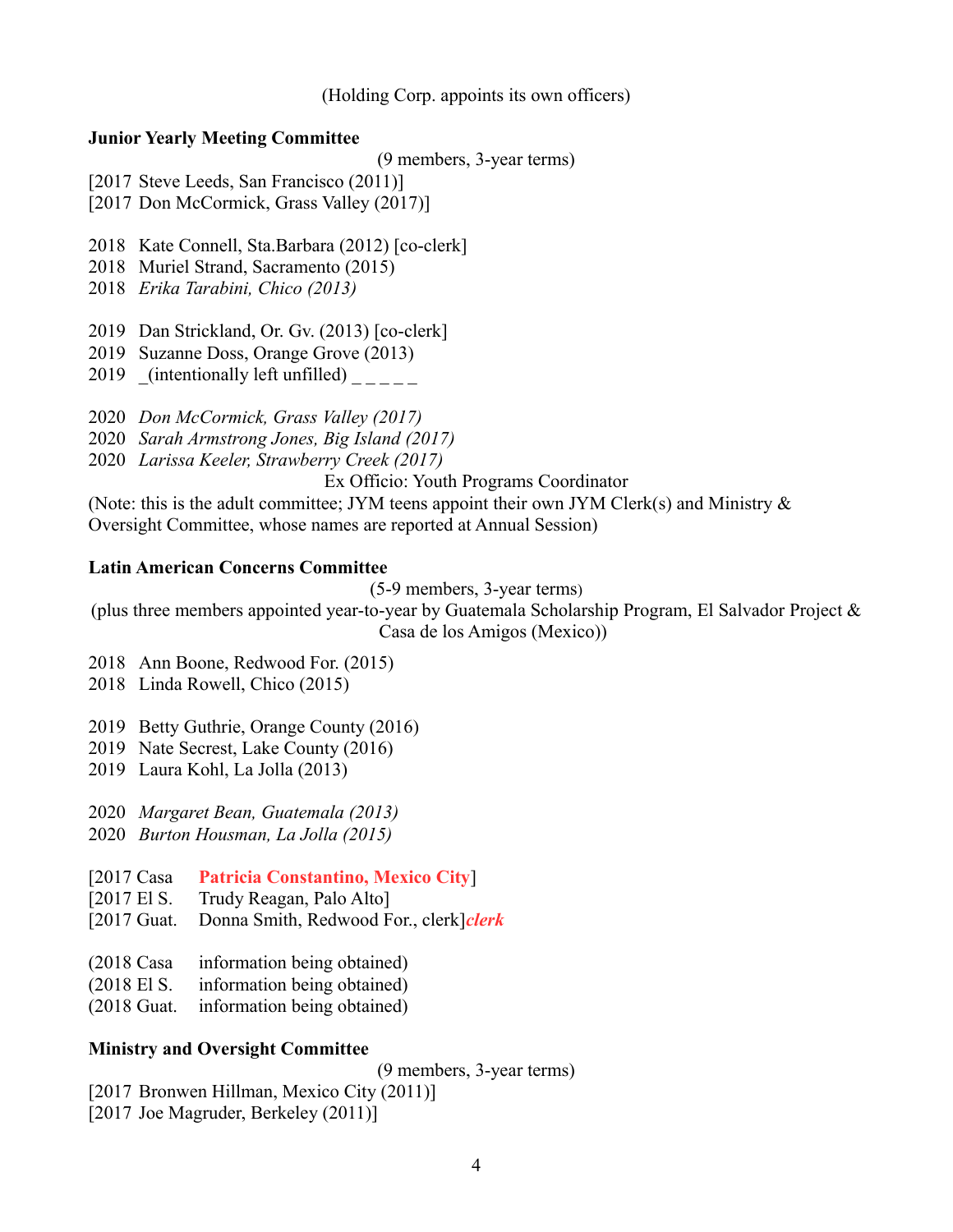(Holding Corp. appoints its own officers)

#### **Junior Yearly Meeting Committee**

(9 members, 3-year terms)

- [2017 Steve Leeds, San Francisco (2011)]
- [2017 Don McCormick, Grass Valley (2017)]
- 2018 Kate Connell, Sta.Barbara (2012) [co-clerk]
- 2018 Muriel Strand, Sacramento (2015)
- 2018 *Erika Tarabini, Chico (2013)*
- 2019 Dan Strickland, Or. Gv. (2013) [co-clerk]
- 2019 Suzanne Doss, Orange Grove (2013)
- 2019 (intentionally left unfilled)
- 2020 *Don McCormick, Grass Valley (2017)*
- 2020 *Sarah Armstrong Jones, Big Island (2017)*
- 2020 *Larissa Keeler, Strawberry Creek (2017)*

Ex Officio: Youth Programs Coordinator

(Note: this is the adult committee; JYM teens appoint their own JYM Clerk(s) and Ministry  $\&$ 

Oversight Committee, whose names are reported at Annual Session)

#### **Latin American Concerns Committee**

(5-9 members, 3-year terms)

(plus three members appointed year-to-year by Guatemala Scholarship Program, El Salvador Project & Casa de los Amigos (Mexico))

- 2018 Ann Boone, Redwood For. (2015)
- 2018 Linda Rowell, Chico (2015)
- 2019 Betty Guthrie, Orange County (2016)
- 2019 Nate Secrest, Lake County (2016)
- 2019 Laura Kohl, La Jolla (2013)
- 2020 *Margaret Bean, Guatemala (2013)*
- 2020 *Burton Housman, La Jolla (2015)*
- [2017 Casa **Patricia Constantino, Mexico City**]
- [2017 El S. Trudy Reagan, Palo Alto]
- [2017 Guat. Donna Smith, Redwood For., clerk]*clerk*
- (2018 Casa information being obtained)
- (2018 El S. information being obtained)
- (2018 Guat. information being obtained)

## **Ministry and Oversight Committee**

(9 members, 3-year terms)

- [2017 Bronwen Hillman, Mexico City (2011)]
- [2017 Joe Magruder, Berkeley (2011)]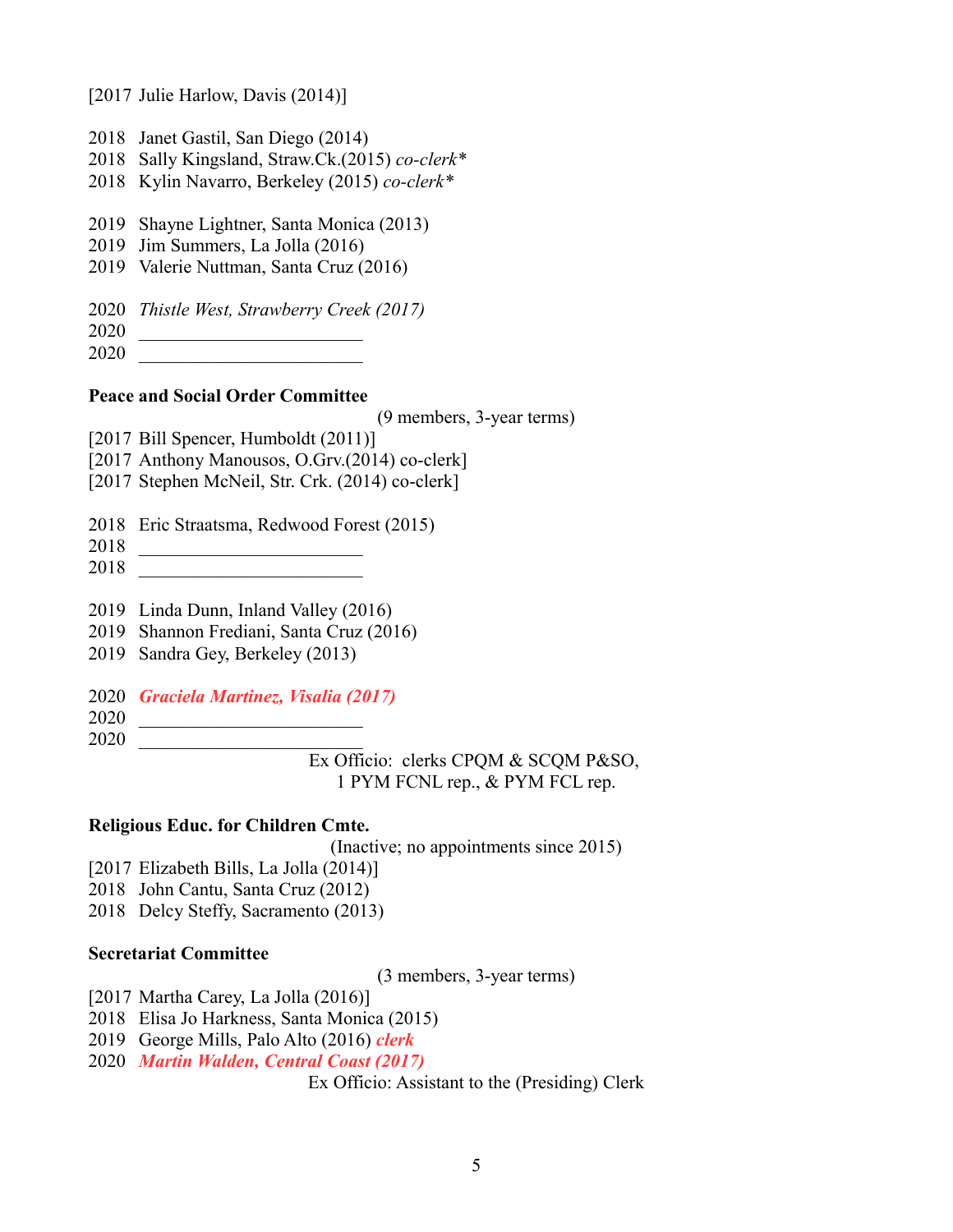[2017 Julie Harlow, Davis (2014)]

- Janet Gastil, San Diego (2014)
- Sally Kingsland, Straw.Ck.(2015) *co-clerk\**
- Kylin Navarro, Berkeley (2015) *co-clerk\**
- Shayne Lightner, Santa Monica (2013)
- Jim Summers, La Jolla (2016)
- Valerie Nuttman, Santa Cruz (2016)
- *Thistle West, Strawberry Creek (2017)*
- \_\_\_\_\_\_\_\_\_\_\_\_\_\_\_\_\_\_\_\_\_\_\_\_
- \_\_\_\_\_\_\_\_\_\_\_\_\_\_\_\_\_\_\_\_\_\_\_\_

## **Peace and Social Order Committee**

(9 members, 3-year terms)

- [2017 Bill Spencer, Humboldt (2011)]
- [2017 Anthony Manousos, O.Grv.(2014) co-clerk]
- [2017 Stephen McNeil, Str. Crk. (2014) co-clerk]
- Eric Straatsma, Redwood Forest (2015)
- \_\_\_\_\_\_\_\_\_\_\_\_\_\_\_\_\_\_\_\_\_\_\_\_
- \_\_\_\_\_\_\_\_\_\_\_\_\_\_\_\_\_\_\_\_\_\_\_\_
- Linda Dunn, Inland Valley (2016)
- Shannon Frediani, Santa Cruz (2016)
- Sandra Gey, Berkeley (2013)
- *Graciela Martinez, Visalia (2017)*
- \_\_\_\_\_\_\_\_\_\_\_\_\_\_\_\_\_\_\_\_\_\_\_\_
- \_\_\_\_\_\_\_\_\_\_\_\_\_\_\_\_\_\_\_\_\_\_\_\_

Ex Officio: clerks CPQM & SCQM P&SO, 1 PYM FCNL rep., & PYM FCL rep.

#### **Religious Educ. for Children Cmte.**

(Inactive; no appointments since 2015)

- [2017 Elizabeth Bills, La Jolla (2014)]
- John Cantu, Santa Cruz (2012)
- Delcy Steffy, Sacramento (2013)

## **Secretariat Committee**

(3 members, 3-year terms)

[2017 Martha Carey, La Jolla (2016)]

- Elisa Jo Harkness, Santa Monica (2015)
- George Mills, Palo Alto (2016) *clerk*
- *Martin Walden, Central Coast (2017)*

Ex Officio: Assistant to the (Presiding) Clerk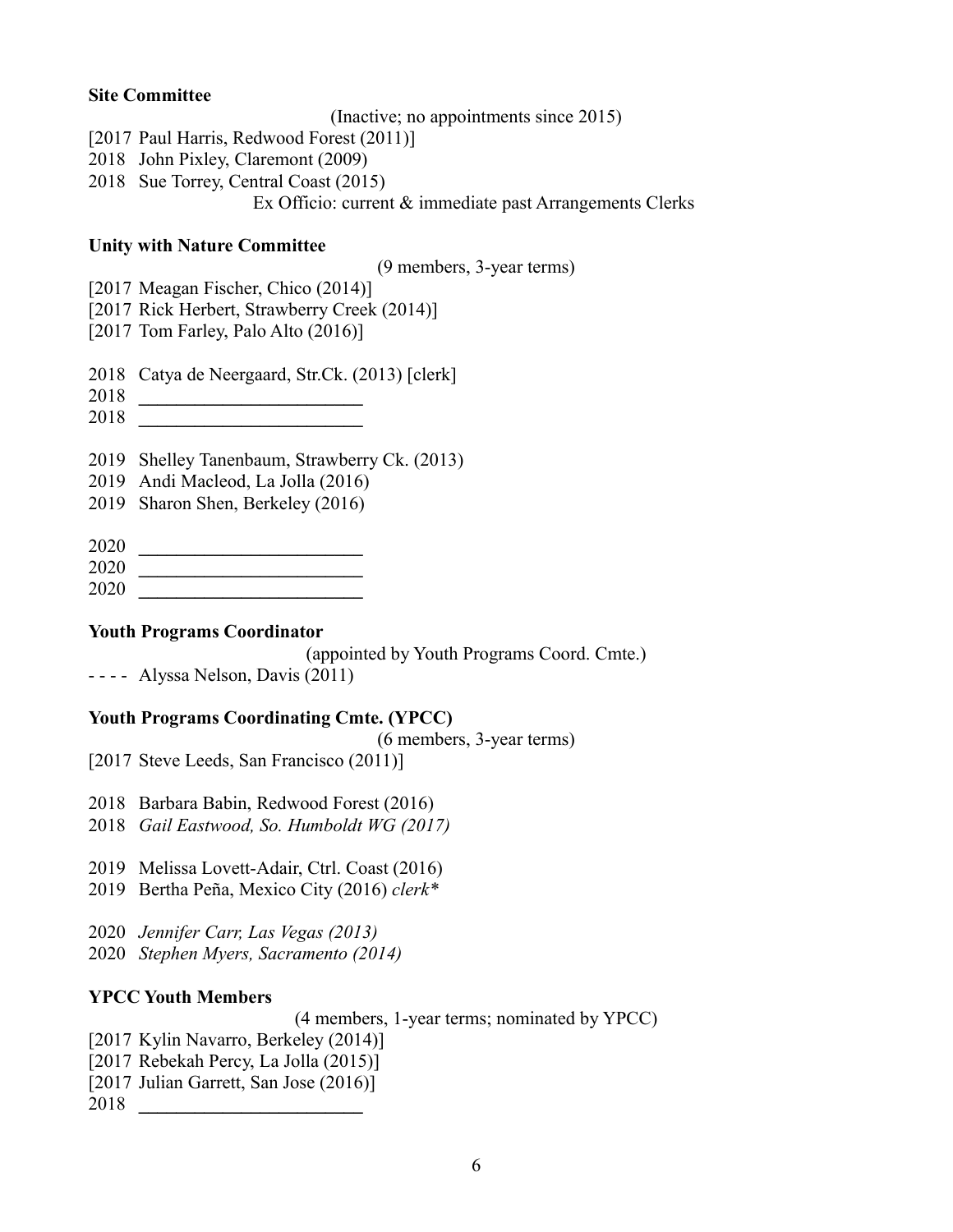## **Site Committee**

(Inactive; no appointments since 2015)

- [2017 Paul Harris, Redwood Forest (2011)]
- 2018 John Pixley, Claremont (2009)
- 2018 Sue Torrey, Central Coast (2015)

Ex Officio: current & immediate past Arrangements Clerks

## **Unity with Nature Committee**

(9 members, 3-year terms)

- [2017 Meagan Fischer, Chico (2014)]
- [2017 Rick Herbert, Strawberry Creek (2014)]
- [2017 Tom Farley, Palo Alto (2016)]
- 2018 Catya de Neergaard, Str.Ck. (2013) [clerk]
- 2018 **\_\_\_\_\_\_\_\_\_\_\_\_\_\_\_\_\_\_\_\_\_\_\_\_**
- 2018 **\_\_\_\_\_\_\_\_\_\_\_\_\_\_\_\_\_\_\_\_\_\_\_\_**
- 2019 Shelley Tanenbaum, Strawberry Ck. (2013)
- 2019 Andi Macleod, La Jolla (2016)
- 2019 Sharon Shen, Berkeley (2016)
- 2020 **\_\_\_\_\_\_\_\_\_\_\_\_\_\_\_\_\_\_\_\_\_\_\_\_**
- 2020 **\_\_\_\_\_\_\_\_\_\_\_\_\_\_\_\_\_\_\_\_\_\_\_\_**
- 2020 **\_\_\_\_\_\_\_\_\_\_\_\_\_\_\_\_\_\_\_\_\_\_\_\_**

## **Youth Programs Coordinator**

(appointed by Youth Programs Coord. Cmte.)

- - - - Alyssa Nelson, Davis (2011)

# **Youth Programs Coordinating Cmte. (YPCC)**

(6 members, 3-year terms)

[2017 Steve Leeds, San Francisco (2011)]

- 2018 Barbara Babin, Redwood Forest (2016)
- 2018 *Gail Eastwood, So. Humboldt WG (2017)*
- 2019 Melissa Lovett-Adair, Ctrl. Coast (2016)
- 2019 Bertha Peña, Mexico City (2016) *clerk\**
- 2020 *Jennifer Carr, Las Vegas (2013)*
- 2020 *Stephen Myers, Sacramento (2014)*

# **YPCC Youth Members**

(4 members, 1-year terms; nominated by YPCC)

- [2017 Kylin Navarro, Berkeley (2014)]
- [2017 Rebekah Percy, La Jolla (2015)]
- [2017 Julian Garrett, San Jose (2016)]

2018 **\_\_\_\_\_\_\_\_\_\_\_\_\_\_\_\_\_\_\_\_\_\_\_\_**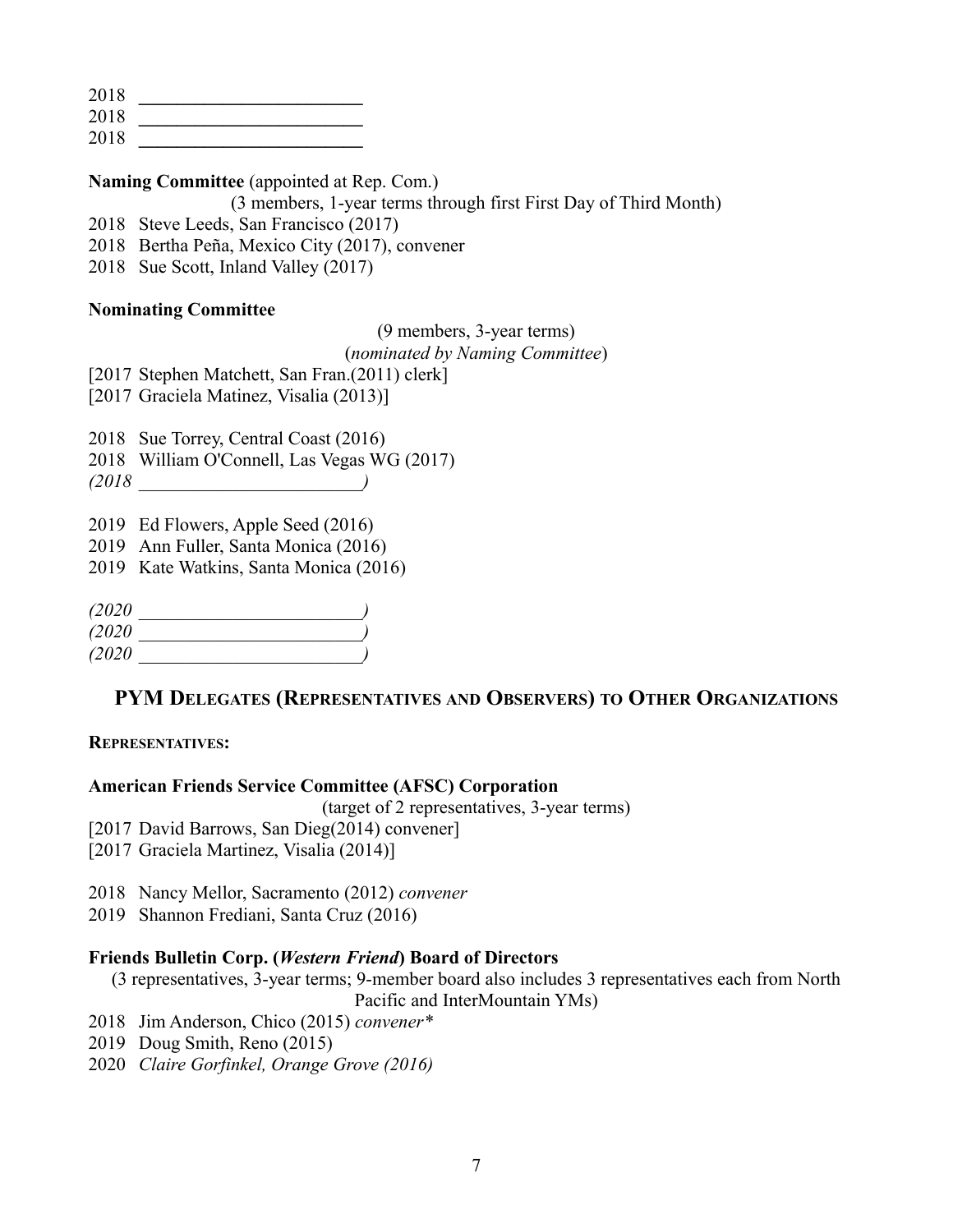2018 **\_\_\_\_\_\_\_\_\_\_\_\_\_\_\_\_\_\_\_\_\_\_\_\_**

2018 **\_\_\_\_\_\_\_\_\_\_\_\_\_\_\_\_\_\_\_\_\_\_\_\_**

2018 **\_\_\_\_\_\_\_\_\_\_\_\_\_\_\_\_\_\_\_\_\_\_\_\_**

## **Naming Committee** (appointed at Rep. Com.)

(3 members, 1-year terms through first First Day of Third Month)

2018 Steve Leeds, San Francisco (2017)

2018 Bertha Peña, Mexico City (2017), convener

2018 Sue Scott, Inland Valley (2017)

## **Nominating Committee**

## (9 members, 3-year terms)

## (*nominated by Naming Committee*)

[2017 Stephen Matchett, San Fran.(2011) clerk]

[2017 Graciela Matinez, Visalia (2013)]

2018 Sue Torrey, Central Coast (2016)

2018 William O'Connell, Las Vegas WG (2017)

*(2018 \_\_\_\_\_\_\_\_\_\_\_\_\_\_\_\_\_\_\_\_\_\_\_\_)*

2019 Ed Flowers, Apple Seed (2016)

2019 Ann Fuller, Santa Monica (2016)

2019 Kate Watkins, Santa Monica (2016)

| (2020) |  |
|--------|--|
| (2020  |  |
| (2020) |  |

# **PYM DELEGATES (REPRESENTATIVES AND OBSERVERS) TO OTHER ORGANIZATIONS**

## **REPRESENTATIVES:**

## **American Friends Service Committee (AFSC) Corporation**

(target of 2 representatives, 3-year terms)

[2017 David Barrows, San Dieg(2014) convener]

- [2017 Graciela Martinez, Visalia (2014)]
- 2018 Nancy Mellor, Sacramento (2012) *convener*

2019 Shannon Frediani, Santa Cruz (2016)

# **Friends Bulletin Corp. (***Western Friend***) Board of Directors**

(3 representatives, 3-year terms; 9-member board also includes 3 representatives each from North

Pacific and InterMountain YMs)

- 2018 Jim Anderson, Chico (2015) *convener\**
- 2019 Doug Smith, Reno (2015)
- 2020 *Claire Gorfinkel, Orange Grove (2016)*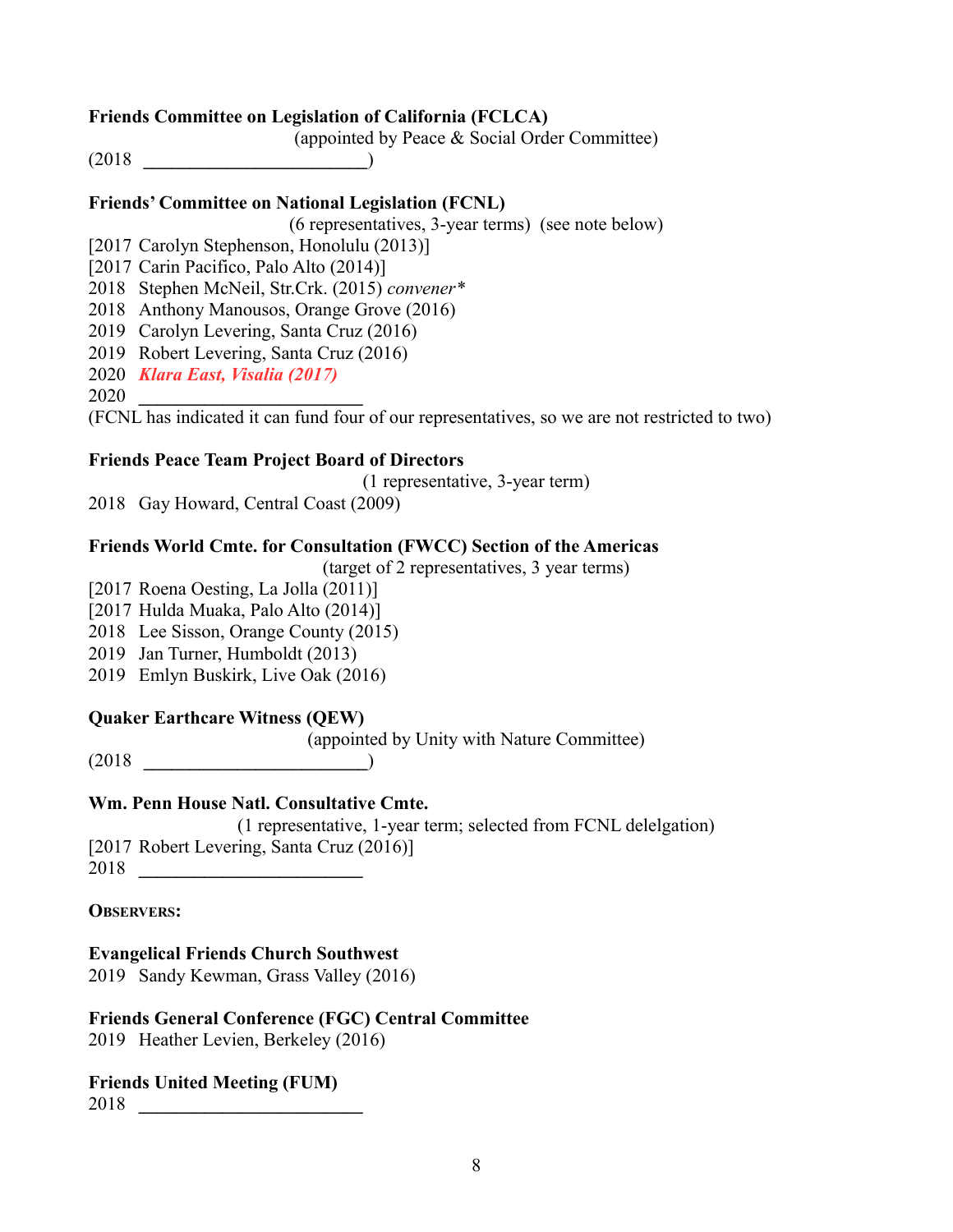## **Friends Committee on Legislation of California (FCLCA)**

(appointed by Peace & Social Order Committee)

(2018 **\_\_\_\_\_\_\_\_\_\_\_\_\_\_\_\_\_\_\_\_\_\_\_\_**)

## **Friends' Committee on National Legislation (FCNL)**

(6 representatives, 3-year terms) (see note below)

[2017 Carolyn Stephenson, Honolulu (2013)]

[2017 Carin Pacifico, Palo Alto (2014)]

2018 Stephen McNeil, Str.Crk. (2015) *convener\**

2018 Anthony Manousos, Orange Grove (2016)

- 2019 Carolyn Levering, Santa Cruz (2016)
- 2019 Robert Levering, Santa Cruz (2016)
- 2020 *Klara East, Visalia (2017)*

2020 **\_\_\_\_\_\_\_\_\_\_\_\_\_\_\_\_\_\_\_\_\_\_\_\_**

(FCNL has indicated it can fund four of our representatives, so we are not restricted to two)

# **Friends Peace Team Project Board of Directors**

(1 representative, 3-year term)

2018 Gay Howard, Central Coast (2009)

## **Friends World Cmte. for Consultation (FWCC) Section of the Americas**

(target of 2 representatives, 3 year terms)

- [2017 Roena Oesting, La Jolla (2011)]
- [2017 Hulda Muaka, Palo Alto (2014)]
- 2018 Lee Sisson, Orange County (2015)
- 2019 Jan Turner, Humboldt (2013)
- 2019 Emlyn Buskirk, Live Oak (2016)

# **Quaker Earthcare Witness (QEW)**

(appointed by Unity with Nature Committee)

(2018 **\_\_\_\_\_\_\_\_\_\_\_\_\_\_\_\_\_\_\_\_\_\_\_\_**)

# **Wm. Penn House Natl. Consultative Cmte.**

(1 representative, 1-year term; selected from FCNL delelgation) [2017 Robert Levering, Santa Cruz (2016)]

2018 **\_\_\_\_\_\_\_\_\_\_\_\_\_\_\_\_\_\_\_\_\_\_\_\_**

**OBSERVERS:**

# **Evangelical Friends Church Southwest**

2019 Sandy Kewman, Grass Valley (2016)

# **Friends General Conference (FGC) Central Committee**

2019 Heather Levien, Berkeley (2016)

## **Friends United Meeting (FUM)**

2018 **\_\_\_\_\_\_\_\_\_\_\_\_\_\_\_\_\_\_\_\_\_\_\_\_**